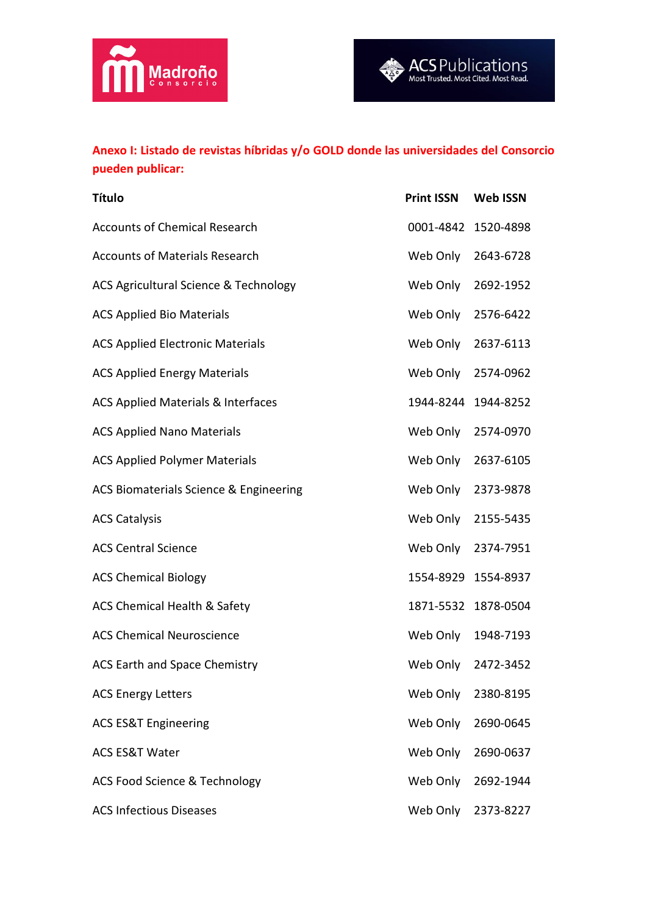



## **Anexo I: Listado de revistas híbridas y/o GOLD donde las universidades del Consorcio pueden publicar:**

| <b>Título</b>                                 | <b>Print ISSN</b>   | <b>Web ISSN</b>     |
|-----------------------------------------------|---------------------|---------------------|
| <b>Accounts of Chemical Research</b>          | 0001-4842 1520-4898 |                     |
| <b>Accounts of Materials Research</b>         | Web Only            | 2643-6728           |
| ACS Agricultural Science & Technology         | Web Only            | 2692-1952           |
| <b>ACS Applied Bio Materials</b>              | Web Only 2576-6422  |                     |
| <b>ACS Applied Electronic Materials</b>       | Web Only 2637-6113  |                     |
| <b>ACS Applied Energy Materials</b>           | Web Only 2574-0962  |                     |
| <b>ACS Applied Materials &amp; Interfaces</b> |                     | 1944-8244 1944-8252 |
| <b>ACS Applied Nano Materials</b>             | Web Only 2574-0970  |                     |
| <b>ACS Applied Polymer Materials</b>          | Web Only 2637-6105  |                     |
| ACS Biomaterials Science & Engineering        | Web Only            | 2373-9878           |
| <b>ACS Catalysis</b>                          | Web Only            | 2155-5435           |
| <b>ACS Central Science</b>                    | Web Only 2374-7951  |                     |
| <b>ACS Chemical Biology</b>                   | 1554-8929 1554-8937 |                     |
| ACS Chemical Health & Safety                  |                     | 1871-5532 1878-0504 |
| <b>ACS Chemical Neuroscience</b>              | Web Only            | 1948-7193           |
| <b>ACS Earth and Space Chemistry</b>          |                     | Web Only 2472-3452  |
| <b>ACS Energy Letters</b>                     | Web Only            | 2380-8195           |
| <b>ACS ES&amp;T Engineering</b>               | Web Only            | 2690-0645           |
| <b>ACS ES&amp;T Water</b>                     | Web Only            | 2690-0637           |
| ACS Food Science & Technology                 | Web Only            | 2692-1944           |
| <b>ACS Infectious Diseases</b>                | Web Only            | 2373-8227           |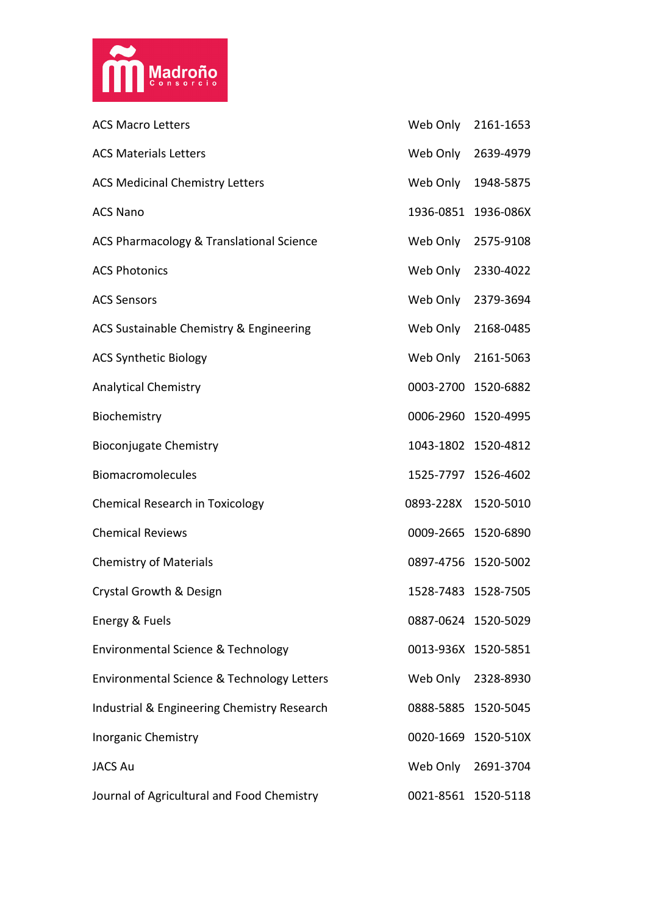

| <b>ACS Macro Letters</b>                    | Web Only 2161-1653  |                     |
|---------------------------------------------|---------------------|---------------------|
| <b>ACS Materials Letters</b>                | Web Only 2639-4979  |                     |
| <b>ACS Medicinal Chemistry Letters</b>      | Web Only 1948-5875  |                     |
| <b>ACS Nano</b>                             |                     | 1936-0851 1936-086X |
| ACS Pharmacology & Translational Science    | Web Only 2575-9108  |                     |
| <b>ACS Photonics</b>                        | Web Only 2330-4022  |                     |
| <b>ACS Sensors</b>                          | Web Only 2379-3694  |                     |
| ACS Sustainable Chemistry & Engineering     | Web Only 2168-0485  |                     |
| <b>ACS Synthetic Biology</b>                | Web Only 2161-5063  |                     |
| <b>Analytical Chemistry</b>                 | 0003-2700 1520-6882 |                     |
| Biochemistry                                | 0006-2960 1520-4995 |                     |
| <b>Bioconjugate Chemistry</b>               | 1043-1802 1520-4812 |                     |
| Biomacromolecules                           |                     | 1525-7797 1526-4602 |
| Chemical Research in Toxicology             | 0893-228X 1520-5010 |                     |
| <b>Chemical Reviews</b>                     | 0009-2665 1520-6890 |                     |
| <b>Chemistry of Materials</b>               | 0897-4756 1520-5002 |                     |
| Crystal Growth & Design                     | 1528-7483 1528-7505 |                     |
| Energy & Fuels                              | 0887-0624 1520-5029 |                     |
| Environmental Science & Technology          | 0013-936X 1520-5851 |                     |
| Environmental Science & Technology Letters  | Web Only 2328-8930  |                     |
| Industrial & Engineering Chemistry Research | 0888-5885 1520-5045 |                     |
| <b>Inorganic Chemistry</b>                  | 0020-1669 1520-510X |                     |
| <b>JACS Au</b>                              | Web Only 2691-3704  |                     |
| Journal of Agricultural and Food Chemistry  |                     | 0021-8561 1520-5118 |